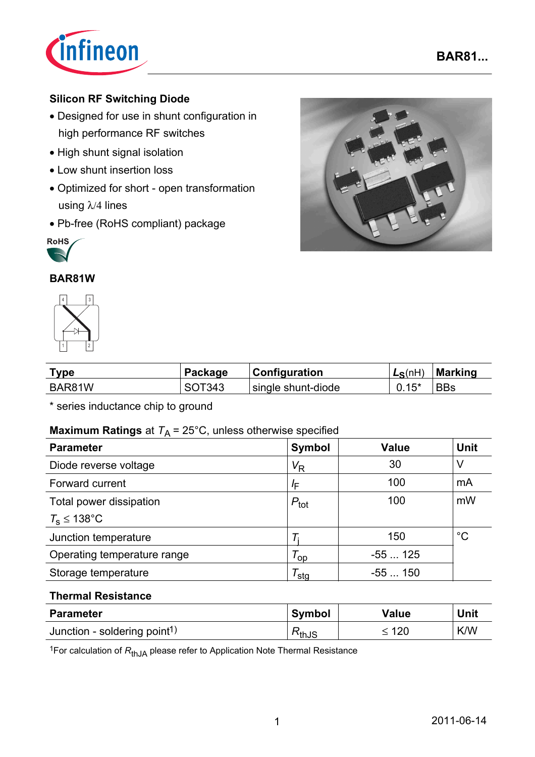

## **Silicon RF Switching Diode**

- Designed for use in shunt configuration in high performance RF switches
- High shunt signal isolation
- Low shunt insertion loss
- Optimized for short open transformation using λ/4 lines
- Pb-free (RoHS compliant) package



### **BAR81W**



| <b>Type</b> | Package | <b>Configuration</b> | $L_S(nH)$ | Marking    |
|-------------|---------|----------------------|-----------|------------|
| BAR81W      | SOT343  | single shunt-diode   | $0.15*$   | <b>BBs</b> |

\* series inductance chip to ground

### **Maximum Ratings** at  $T_A = 25^{\circ}$ C, unless otherwise specified

| <b>Parameter</b>            | Symbol               | <b>Value</b> | <b>Unit</b> |
|-----------------------------|----------------------|--------------|-------------|
| Diode reverse voltage       | $V_{\mathsf{R}}$     | 30           | V           |
| Forward current             | ΙF                   | 100          | mA          |
| Total power dissipation     | $P_{\text{tot}}$     | 100          | mW          |
| $T_s \leq 138^{\circ}$ C    |                      |              |             |
| Junction temperature        |                      | 150          | $^{\circ}C$ |
| Operating temperature range | $\tau_{\mathsf{op}}$ | $-55125$     |             |
| Storage temperature         | <sup>/</sup> sta     | $-55150$     |             |

#### **Thermal Resistance**

| <b>Parameter</b>                         | <b>Symbol</b>                     | <b>Value</b> | Unit       |
|------------------------------------------|-----------------------------------|--------------|------------|
| Junction - soldering point <sup>1)</sup> | $\mathbin{\preceq_{\text{thJS}}}$ | 120          | <b>K/W</b> |

<sup>1</sup>For calculation of R<sub>thJA</sub> please refer to Application Note Thermal Resistance

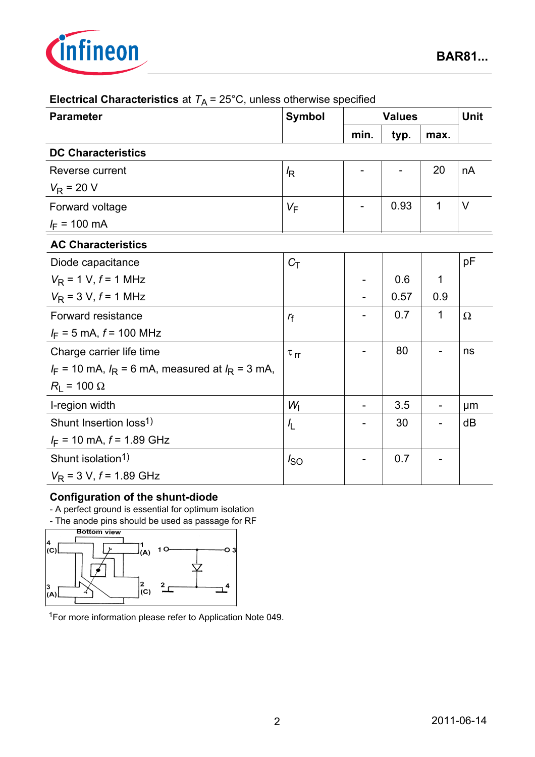

| <b>Parameter</b>                                       | <b>Symbol</b>        | <b>Values</b>            |      | Unit        |          |
|--------------------------------------------------------|----------------------|--------------------------|------|-------------|----------|
|                                                        |                      | min.                     | typ. | max.        |          |
| <b>DC Characteristics</b>                              |                      |                          |      |             |          |
| Reverse current                                        | $\sqrt{R}$           |                          |      | 20          | nA       |
| $V_R$ = 20 V                                           |                      |                          |      |             |          |
| Forward voltage                                        | $V_F$                |                          | 0.93 | $\mathbf 1$ | $\vee$   |
| $I_F = 100 \text{ mA}$                                 |                      |                          |      |             |          |
| <b>AC Characteristics</b>                              |                      |                          |      |             |          |
| Diode capacitance                                      | $C_T$                |                          |      |             | рF       |
| $V_R$ = 1 V, $f$ = 1 MHz                               |                      | $\overline{\phantom{a}}$ | 0.6  | 1           |          |
| $V_R$ = 3 V, $f$ = 1 MHz                               |                      |                          | 0.57 | 0.9         |          |
| Forward resistance                                     | $r_{\rm f}$          |                          | 0.7  | 1           | $\Omega$ |
| $I_F = 5$ mA, $f = 100$ MHz                            |                      |                          |      |             |          |
| Charge carrier life time                               | $\tau$ <sub>rr</sub> |                          | 80   |             | ns       |
| $I_F$ = 10 mA, $I_R$ = 6 mA, measured at $I_R$ = 3 mA, |                      |                          |      |             |          |
| $R_{L}$ = 100 $\Omega$                                 |                      |                          |      |             |          |
| I-region width                                         | $W_{\rm I}$          |                          | 3.5  |             | μm       |
| Shunt Insertion loss <sup>1)</sup>                     | $\frac{1}{2}$        |                          | 30   |             | dB       |
| $I_F$ = 10 mA, $f$ = 1.89 GHz                          |                      |                          |      |             |          |
| Shunt isolation <sup>1)</sup>                          | $I_{SO}$             |                          | 0.7  |             |          |
| $V_R$ = 3 V, $f$ = 1.89 GHz                            |                      |                          |      |             |          |

# **Electrical Characteristics** at  $T_A = 25^{\circ}$ C, unless otherwise specified

#### **Configuration of the shunt-diode**

- A perfect ground is essential for optimum isolation

- The anode pins should be used as passage for RF<br>Bottom view



1For more information please refer to Application Note 049.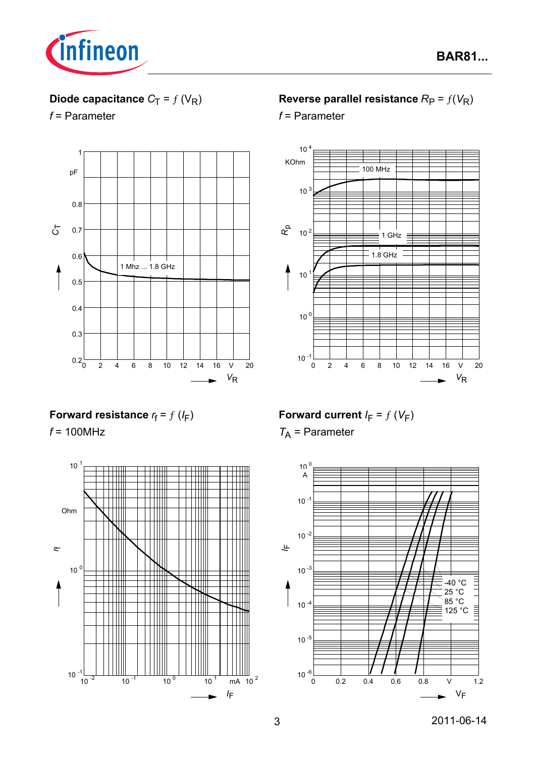

# **Diode capacitance**  $C_T = f(V_R)$

*f* = Parameter



## **Reverse parallel resistance**  $R_P = f(V_R)$

*f* = Parameter



## **Forward resistance**  $r_f = f(l_F)$

*f* = 100MHz



**Forward current**  $I_F = f(V_F)$ 

*T*A = Parameter

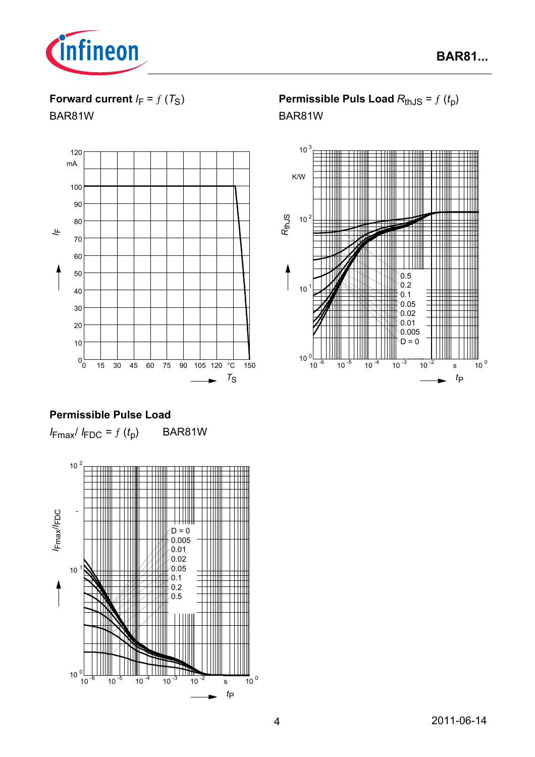

**Forward current**  $I_F = f(T_S)$ 

BAR81W



### **Permissible Pulse Load**

 $I_{\text{Fmax}}/I_{\text{FDC}} = f(t_p)$  BAR81W



# **Permissible Puls Load**  $R_{th,JS} = f(t_p)$ BAR81W

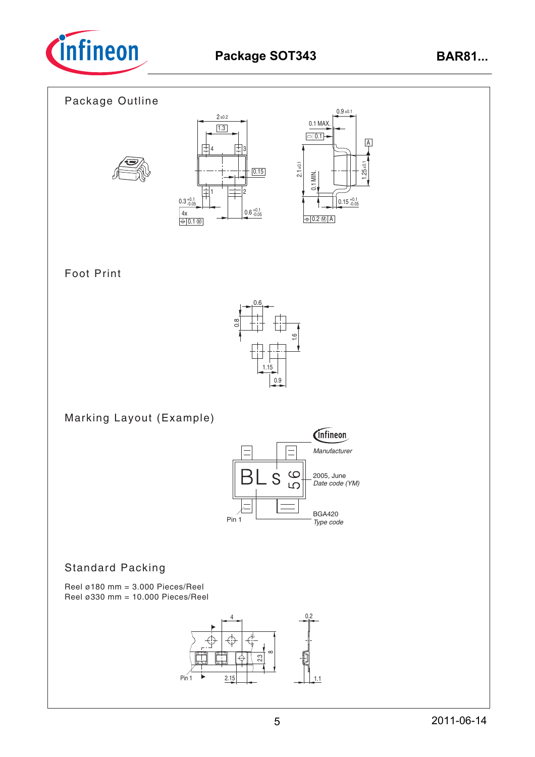



# Foot Print



Marking Layout (Example)



### Standard Packing

Reel ø180 mm =  $3.000$  Pieces/Reel Reel ø330 mm = 10.000 Pieces/Reel